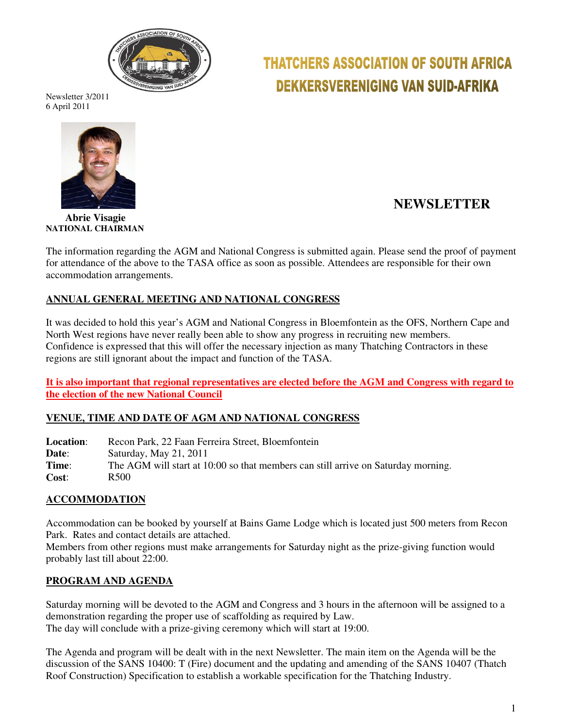

# **THATCHERS ASSOCIATION OF SOUTH AFRICA DEKKERSVERENIGING VAN SUID-AFRIKA**

Newsletter 3/2011 6 April 2011



# **NEWSLETTER**

 **Abrie Visagie NATIONAL CHAIRMAN** 

The information regarding the AGM and National Congress is submitted again. Please send the proof of payment for attendance of the above to the TASA office as soon as possible. Attendees are responsible for their own accommodation arrangements.

# **ANNUAL GENERAL MEETING AND NATIONAL CONGRESS**

It was decided to hold this year's AGM and National Congress in Bloemfontein as the OFS, Northern Cape and North West regions have never really been able to show any progress in recruiting new members. Confidence is expressed that this will offer the necessary injection as many Thatching Contractors in these regions are still ignorant about the impact and function of the TASA.

**It is also important that regional representatives are elected before the AGM and Congress with regard to the election of the new National Council**

# **VENUE, TIME AND DATE OF AGM AND NATIONAL CONGRESS**

**Location**: Recon Park, 22 Faan Ferreira Street, Bloemfontein **Date:** Saturday, May 21, 2011 **Time:** The AGM will start at 10:00 so that members can still arrive on Saturday morning. **Cost**: R500

# **ACCOMMODATION**

Accommodation can be booked by yourself at Bains Game Lodge which is located just 500 meters from Recon Park. Rates and contact details are attached.

Members from other regions must make arrangements for Saturday night as the prize-giving function would probably last till about 22:00.

#### **PROGRAM AND AGENDA**

Saturday morning will be devoted to the AGM and Congress and 3 hours in the afternoon will be assigned to a demonstration regarding the proper use of scaffolding as required by Law. The day will conclude with a prize-giving ceremony which will start at 19:00.

The Agenda and program will be dealt with in the next Newsletter. The main item on the Agenda will be the discussion of the SANS 10400: T (Fire) document and the updating and amending of the SANS 10407 (Thatch Roof Construction) Specification to establish a workable specification for the Thatching Industry.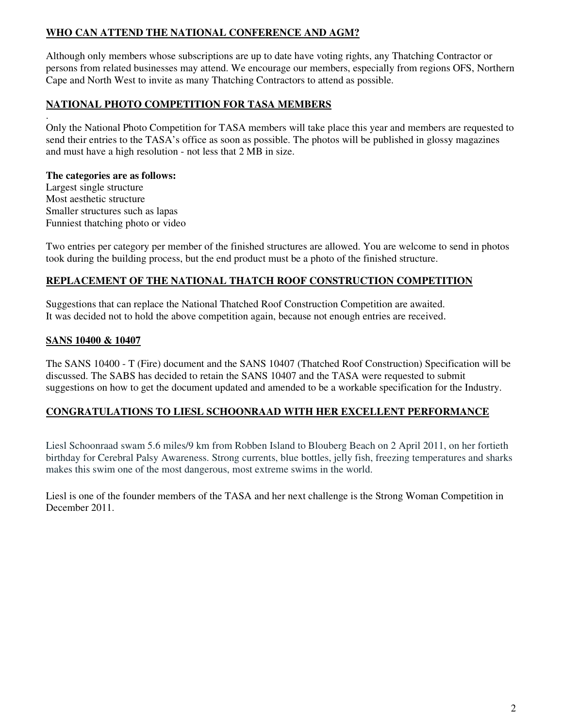# **WHO CAN ATTEND THE NATIONAL CONFERENCE AND AGM?**

Although only members whose subscriptions are up to date have voting rights, any Thatching Contractor or persons from related businesses may attend. We encourage our members, especially from regions OFS, Northern Cape and North West to invite as many Thatching Contractors to attend as possible.

### **NATIONAL PHOTO COMPETITION FOR TASA MEMBERS**

. Only the National Photo Competition for TASA members will take place this year and members are requested to send their entries to the TASA's office as soon as possible. The photos will be published in glossy magazines and must have a high resolution - not less that 2 MB in size.

#### **The categories are as follows:**

Largest single structure Most aesthetic structure Smaller structures such as lapas Funniest thatching photo or video

Two entries per category per member of the finished structures are allowed. You are welcome to send in photos took during the building process, but the end product must be a photo of the finished structure.

#### **REPLACEMENT OF THE NATIONAL THATCH ROOF CONSTRUCTION COMPETITION**

Suggestions that can replace the National Thatched Roof Construction Competition are awaited. It was decided not to hold the above competition again, because not enough entries are received.

#### **SANS 10400 & 10407**

The SANS 10400 - T (Fire) document and the SANS 10407 (Thatched Roof Construction) Specification will be discussed. The SABS has decided to retain the SANS 10407 and the TASA were requested to submit suggestions on how to get the document updated and amended to be a workable specification for the Industry.

#### **CONGRATULATIONS TO LIESL SCHOONRAAD WITH HER EXCELLENT PERFORMANCE**

Liesl Schoonraad swam 5.6 miles/9 km from Robben Island to Blouberg Beach on 2 April 2011, on her fortieth birthday for Cerebral Palsy Awareness. Strong currents, blue bottles, jelly fish, freezing temperatures and sharks makes this swim one of the most dangerous, most extreme swims in the world.

Liesl is one of the founder members of the TASA and her next challenge is the Strong Woman Competition in December 2011.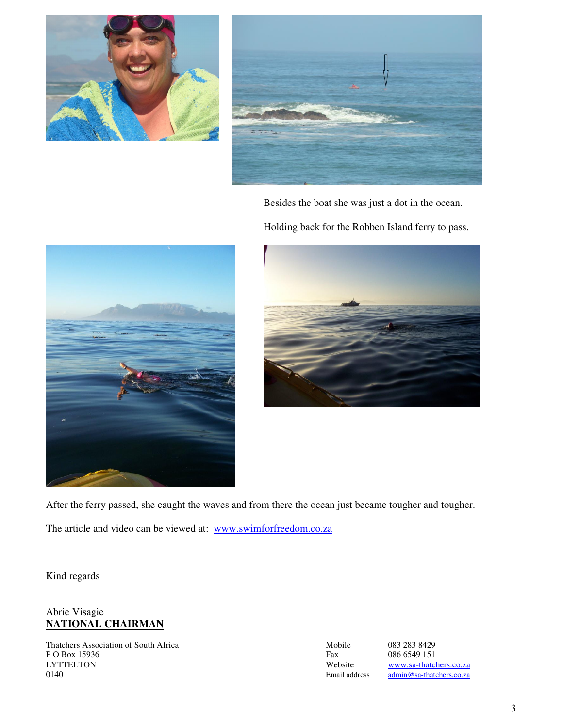



Besides the boat she was just a dot in the ocean.

Holding back for the Robben Island ferry to pass.





After the ferry passed, she caught the waves and from there the ocean just became tougher and tougher.

The article and video can be viewed at: www.swimforfreedom.co.za

Kind regards

# Abrie Visagie **NATIONAL CHAIRMAN**

Thatchers Association of South Africa Mobile 083 283 8429 P O Box 15936 Fax 086 6549 151<br>LYTTELTON Website www.sa-thatcl LYTTELTON Website www.sa-thatchers.co.za<br>
0140 Email address admin @sa-thatchers.co.za

admin@sa-thatchers.co.za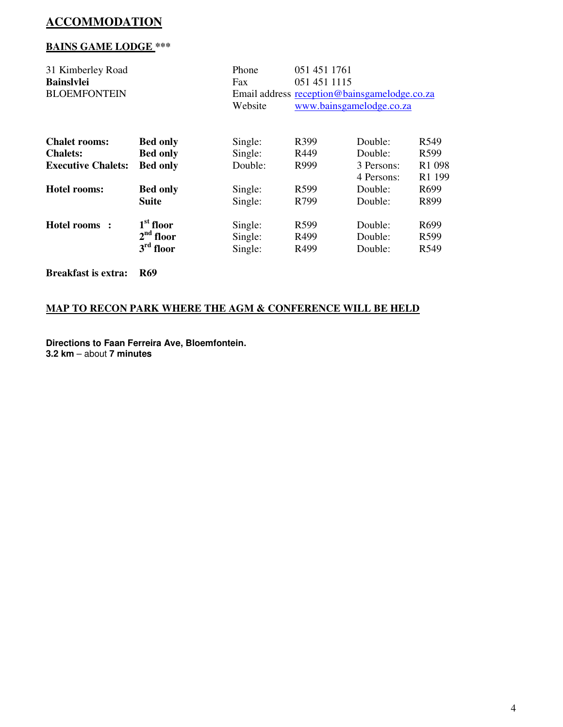# **ACCOMMODATION**

# **BAINS GAME LODGE \*\*\***

| 31 Kimberley Road<br><b>Bainslylei</b><br><b>BLOEMFONTEIN</b> | Phone<br>Fax<br>Website | 051 451 1761<br>051 451 1115<br>Email address reception@bainsgamelodge.co.za<br>www.bainsgamelodge.co.za |                  |            |                    |
|---------------------------------------------------------------|-------------------------|----------------------------------------------------------------------------------------------------------|------------------|------------|--------------------|
| <b>Chalet rooms:</b>                                          | <b>Bed only</b>         | Single:                                                                                                  | R <sub>399</sub> | Double:    | R <sub>549</sub>   |
| <b>Chalets:</b>                                               | <b>Bed only</b>         | Single:                                                                                                  | R449             | Double:    | R599               |
| <b>Executive Chalets:</b>                                     | <b>Bed only</b>         | Double:                                                                                                  | R999             | 3 Persons: | R <sub>1</sub> 098 |
|                                                               |                         |                                                                                                          |                  | 4 Persons: | R1 199             |
| Hotel rooms:                                                  | <b>Bed only</b>         | Single:                                                                                                  | R <sub>599</sub> | Double:    | R <sub>699</sub>   |
|                                                               | <b>Suite</b>            | Single:                                                                                                  | R799             | Double:    | R899               |
| Hotel rooms :                                                 | $1st$ floor             | Single:                                                                                                  | R <sub>599</sub> | Double:    | R <sub>699</sub>   |
|                                                               | $2nd$ floor             | Single:                                                                                                  | R499             | Double:    | R <sub>599</sub>   |
|                                                               | $3rd$ floor             | Single:                                                                                                  | R <sub>499</sub> | Double:    | R <sub>549</sub>   |
| <b>Breakfast is extra:</b>                                    | <b>R69</b>              |                                                                                                          |                  |            |                    |

# **MAP TO RECON PARK WHERE THE AGM & CONFERENCE WILL BE HELD**

**Directions to Faan Ferreira Ave, Bloemfontein. 3.2 km** – about **7 minutes**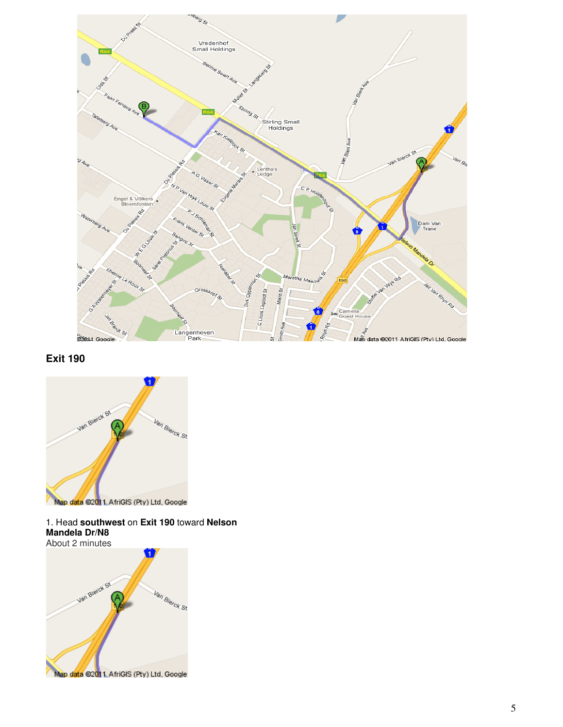

# **Exit 190**



#### 1. Head **southwest** on **Exit 190** toward **Nelson Mandela Dr/N8**